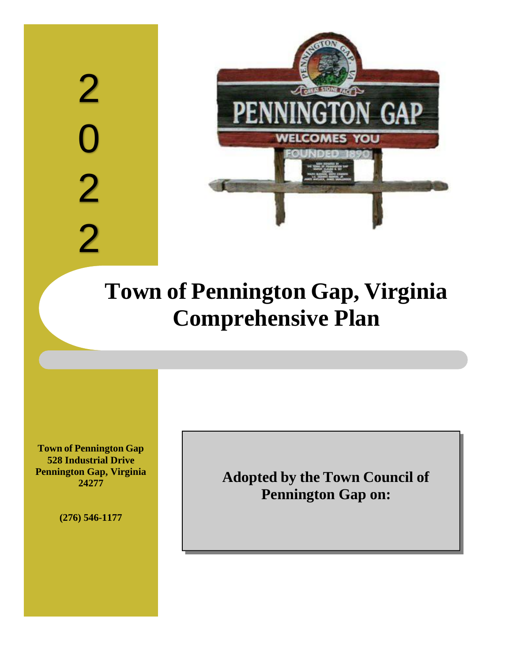# 2 0 2 2



# **Town of Pennington Gap, Virginia Comprehensive Plan**

**Town of Pennington Gap 528 Industrial Drive Pennington Gap, Virginia 24277**

**(276) 546-1177**

**Adopted by the Town Council of Pennington Gap on:**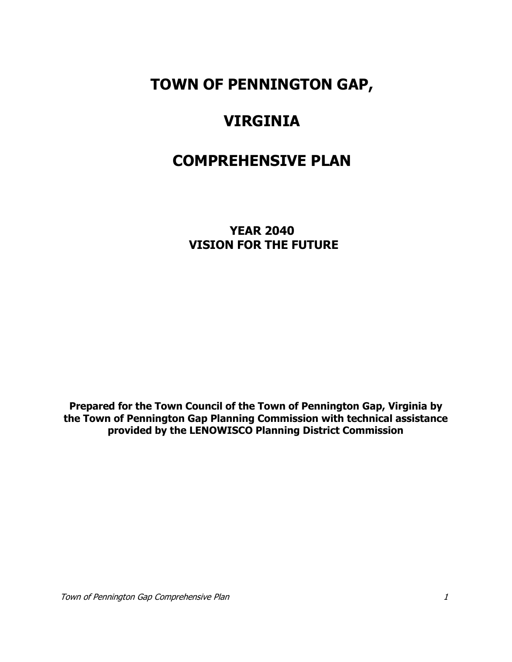# **TOWN OF PENNINGTON GAP,**

# **VIRGINIA**

# **COMPREHENSIVE PLAN**

**YEAR 2040 VISION FOR THE FUTURE**

**Prepared for the Town Council of the Town of Pennington Gap, Virginia by the Town of Pennington Gap Planning Commission with technical assistance provided by the LENOWISCO Planning District Commission**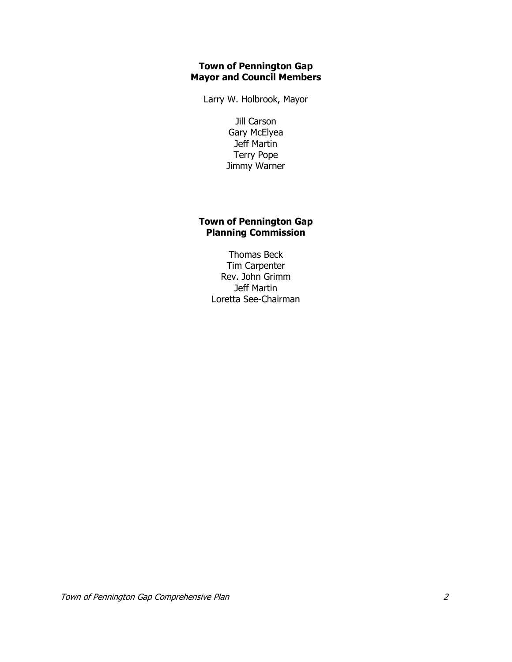# **Town of Pennington Gap Mayor and Council Members**

Larry W. Holbrook, Mayor

Jill Carson Gary McElyea Jeff Martin Terry Pope Jimmy Warner

# **Town of Pennington Gap Planning Commission**

Thomas Beck Tim Carpenter Rev. John Grimm Jeff Martin Loretta See-Chairman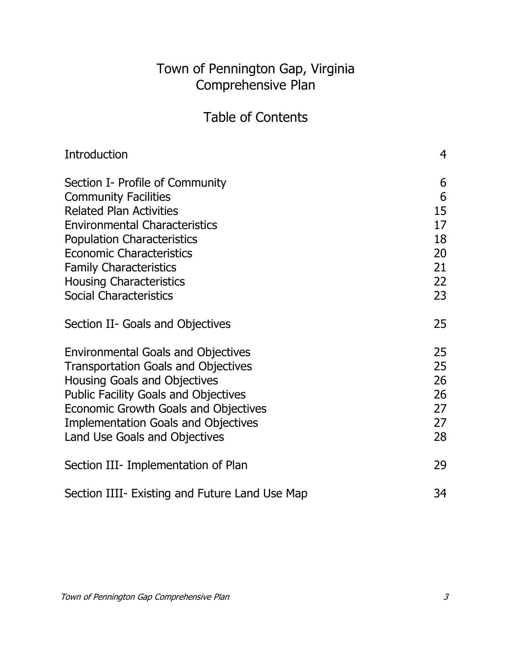# Town of Pennington Gap, Virginia Comprehensive Plan

# Table of Contents

| Introduction                                   | 4  |
|------------------------------------------------|----|
| Section I- Profile of Community                | 6  |
| <b>Community Facilities</b>                    | 6  |
| <b>Related Plan Activities</b>                 | 15 |
| <b>Environmental Characteristics</b>           | 17 |
| <b>Population Characteristics</b>              | 18 |
| <b>Economic Characteristics</b>                | 20 |
| <b>Family Characteristics</b>                  | 21 |
| <b>Housing Characteristics</b>                 | 22 |
| <b>Social Characteristics</b>                  | 23 |
| Section II- Goals and Objectives               | 25 |
| <b>Environmental Goals and Objectives</b>      | 25 |
| <b>Transportation Goals and Objectives</b>     | 25 |
| <b>Housing Goals and Objectives</b>            | 26 |
| <b>Public Facility Goals and Objectives</b>    | 26 |
| Economic Growth Goals and Objectives           | 27 |
| <b>Implementation Goals and Objectives</b>     | 27 |
| Land Use Goals and Objectives                  | 28 |
| Section III- Implementation of Plan            | 29 |
| Section IIII- Existing and Future Land Use Map | 34 |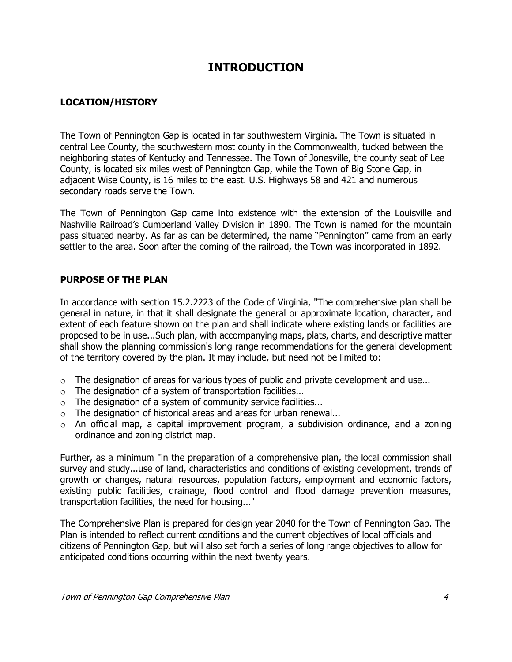# **INTRODUCTION**

# **LOCATION/HISTORY**

The Town of Pennington Gap is located in far southwestern Virginia. The Town is situated in central Lee County, the southwestern most county in the Commonwealth, tucked between the neighboring states of Kentucky and Tennessee. The Town of Jonesville, the county seat of Lee County, is located six miles west of Pennington Gap, while the Town of Big Stone Gap, in adjacent Wise County, is 16 miles to the east. U.S. Highways 58 and 421 and numerous secondary roads serve the Town.

The Town of Pennington Gap came into existence with the extension of the Louisville and Nashville Railroad's Cumberland Valley Division in 1890. The Town is named for the mountain pass situated nearby. As far as can be determined, the name "Pennington" came from an early settler to the area. Soon after the coming of the railroad, the Town was incorporated in 1892.

# **PURPOSE OF THE PLAN**

In accordance with section 15.2.2223 of the Code of Virginia, "The comprehensive plan shall be general in nature, in that it shall designate the general or approximate location, character, and extent of each feature shown on the plan and shall indicate where existing lands or facilities are proposed to be in use...Such plan, with accompanying maps, plats, charts, and descriptive matter shall show the planning commission's long range recommendations for the general development of the territory covered by the plan. It may include, but need not be limited to:

- $\circ$  The designation of areas for various types of public and private development and use...
- o The designation of a system of transportation facilities...
- $\circ$  The designation of a system of community service facilities...
- $\circ$  The designation of historical areas and areas for urban renewal...
- $\circ$  An official map, a capital improvement program, a subdivision ordinance, and a zoning ordinance and zoning district map.

Further, as a minimum "in the preparation of a comprehensive plan, the local commission shall survey and study...use of land, characteristics and conditions of existing development, trends of growth or changes, natural resources, population factors, employment and economic factors, existing public facilities, drainage, flood control and flood damage prevention measures, transportation facilities, the need for housing..."

The Comprehensive Plan is prepared for design year 2040 for the Town of Pennington Gap. The Plan is intended to reflect current conditions and the current objectives of local officials and citizens of Pennington Gap, but will also set forth a series of long range objectives to allow for anticipated conditions occurring within the next twenty years.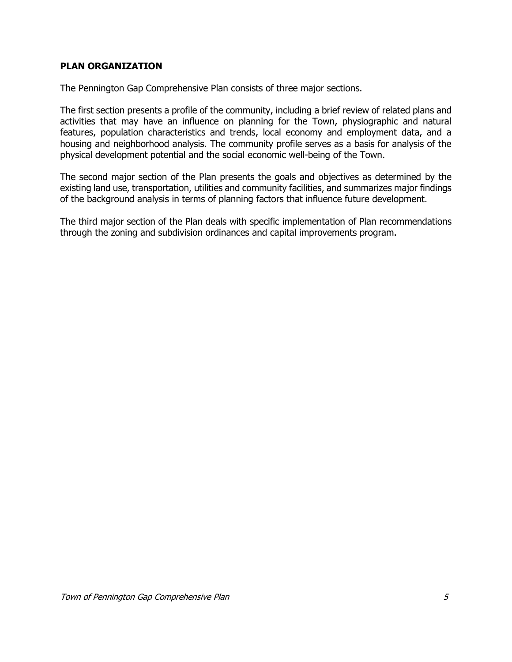# **PLAN ORGANIZATION**

The Pennington Gap Comprehensive Plan consists of three major sections.

The first section presents a profile of the community, including a brief review of related plans and activities that may have an influence on planning for the Town, physiographic and natural features, population characteristics and trends, local economy and employment data, and a housing and neighborhood analysis. The community profile serves as a basis for analysis of the physical development potential and the social economic well-being of the Town.

The second major section of the Plan presents the goals and objectives as determined by the existing land use, transportation, utilities and community facilities, and summarizes major findings of the background analysis in terms of planning factors that influence future development.

The third major section of the Plan deals with specific implementation of Plan recommendations through the zoning and subdivision ordinances and capital improvements program.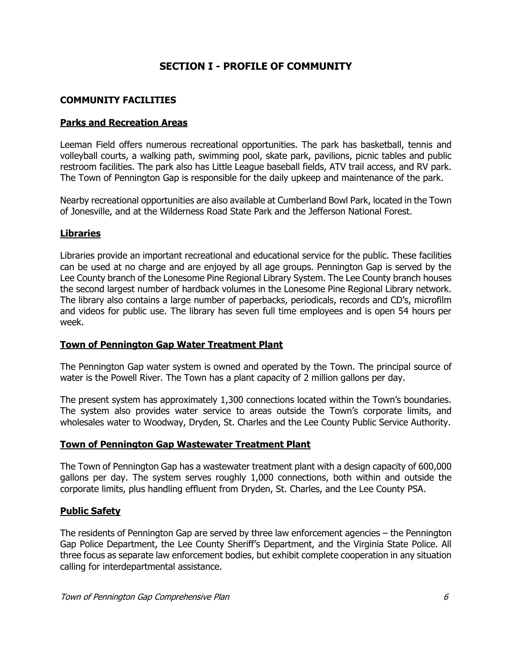# **SECTION I - PROFILE OF COMMUNITY**

# **COMMUNITY FACILITIES**

# **Parks and Recreation Areas**

Leeman Field offers numerous recreational opportunities. The park has basketball, tennis and volleyball courts, a walking path, swimming pool, skate park, pavilions, picnic tables and public restroom facilities. The park also has Little League baseball fields, ATV trail access, and RV park. The Town of Pennington Gap is responsible for the daily upkeep and maintenance of the park.

Nearby recreational opportunities are also available at Cumberland Bowl Park, located in the Town of Jonesville, and at the Wilderness Road State Park and the Jefferson National Forest.

# **Libraries**

Libraries provide an important recreational and educational service for the public. These facilities can be used at no charge and are enjoyed by all age groups. Pennington Gap is served by the Lee County branch of the Lonesome Pine Regional Library System. The Lee County branch houses the second largest number of hardback volumes in the Lonesome Pine Regional Library network. The library also contains a large number of paperbacks, periodicals, records and CD's, microfilm and videos for public use. The library has seven full time employees and is open 54 hours per week.

# **Town of Pennington Gap Water Treatment Plant**

The Pennington Gap water system is owned and operated by the Town. The principal source of water is the Powell River. The Town has a plant capacity of 2 million gallons per day.

The present system has approximately 1,300 connections located within the Town's boundaries. The system also provides water service to areas outside the Town's corporate limits, and wholesales water to Woodway, Dryden, St. Charles and the Lee County Public Service Authority.

# **Town of Pennington Gap Wastewater Treatment Plant**

The Town of Pennington Gap has a wastewater treatment plant with a design capacity of 600,000 gallons per day. The system serves roughly 1,000 connections, both within and outside the corporate limits, plus handling effluent from Dryden, St. Charles, and the Lee County PSA.

# **Public Safety**

The residents of Pennington Gap are served by three law enforcement agencies – the Pennington Gap Police Department, the Lee County Sheriff's Department, and the Virginia State Police. All three focus as separate law enforcement bodies, but exhibit complete cooperation in any situation calling for interdepartmental assistance.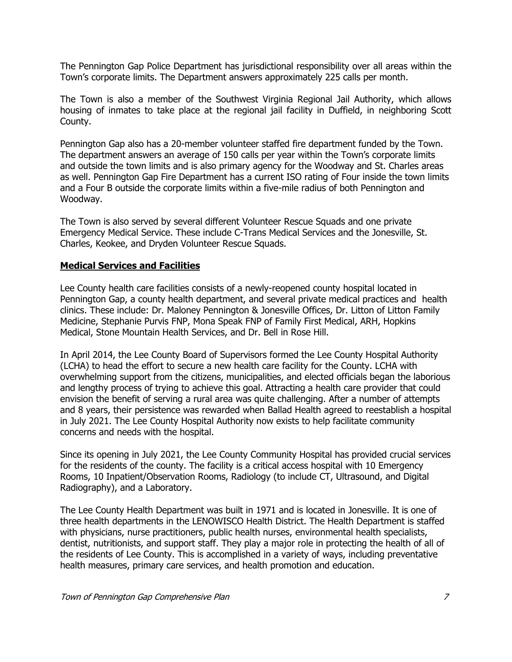The Pennington Gap Police Department has jurisdictional responsibility over all areas within the Town's corporate limits. The Department answers approximately 225 calls per month.

The Town is also a member of the Southwest Virginia Regional Jail Authority, which allows housing of inmates to take place at the regional jail facility in Duffield, in neighboring Scott County.

Pennington Gap also has a 20-member volunteer staffed fire department funded by the Town. The department answers an average of 150 calls per year within the Town's corporate limits and outside the town limits and is also primary agency for the Woodway and St. Charles areas as well. Pennington Gap Fire Department has a current ISO rating of Four inside the town limits and a Four B outside the corporate limits within a five-mile radius of both Pennington and Woodway.

The Town is also served by several different Volunteer Rescue Squads and one private Emergency Medical Service. These include C-Trans Medical Services and the Jonesville, St. Charles, Keokee, and Dryden Volunteer Rescue Squads.

# **Medical Services and Facilities**

Lee County health care facilities consists of a newly-reopened county hospital located in Pennington Gap, a county health department, and several private medical practices and health clinics. These include: Dr. Maloney Pennington & Jonesville Offices, Dr. Litton of Litton Family Medicine, Stephanie Purvis FNP, Mona Speak FNP of Family First Medical, ARH, Hopkins Medical, Stone Mountain Health Services, and Dr. Bell in Rose Hill.

In April 2014, the Lee County Board of Supervisors formed the Lee County Hospital Authority (LCHA) to head the effort to secure a new health care facility for the County. LCHA with overwhelming support from the citizens, municipalities, and elected officials began the laborious and lengthy process of trying to achieve this goal. Attracting a health care provider that could envision the benefit of serving a rural area was quite challenging. After a number of attempts and 8 years, their persistence was rewarded when Ballad Health agreed to reestablish a hospital in July 2021. The Lee County Hospital Authority now exists to help facilitate community concerns and needs with the hospital.

Since its opening in July 2021, the Lee County Community Hospital has provided crucial services for the residents of the county. The facility is a critical access hospital with 10 Emergency Rooms, 10 Inpatient/Observation Rooms, Radiology (to include CT, Ultrasound, and Digital Radiography), and a Laboratory.

The Lee County Health Department was built in 1971 and is located in Jonesville. It is one of three health departments in the LENOWISCO Health District. The Health Department is staffed with physicians, nurse practitioners, public health nurses, environmental health specialists, dentist, nutritionists, and support staff. They play a major role in protecting the health of all of the residents of Lee County. This is accomplished in a variety of ways, including preventative health measures, primary care services, and health promotion and education.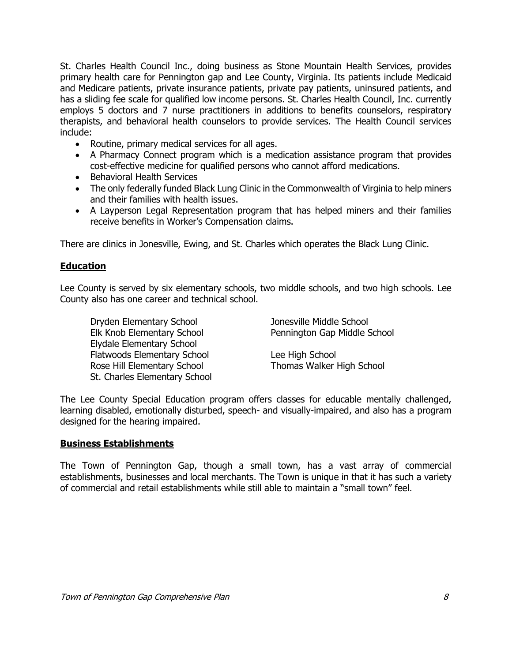St. Charles Health Council Inc., doing business as Stone Mountain Health Services, provides primary health care for Pennington gap and Lee County, Virginia. Its patients include Medicaid and Medicare patients, private insurance patients, private pay patients, uninsured patients, and has a sliding fee scale for qualified low income persons. St. Charles Health Council, Inc. currently employs 5 doctors and 7 nurse practitioners in additions to benefits counselors, respiratory therapists, and behavioral health counselors to provide services. The Health Council services include:

- Routine, primary medical services for all ages.
- A Pharmacy Connect program which is a medication assistance program that provides cost-effective medicine for qualified persons who cannot afford medications.
- Behavioral Health Services
- The only federally funded Black Lung Clinic in the Commonwealth of Virginia to help miners and their families with health issues.
- A Layperson Legal Representation program that has helped miners and their families receive benefits in Worker's Compensation claims.

There are clinics in Jonesville, Ewing, and St. Charles which operates the Black Lung Clinic.

# **Education**

Lee County is served by six elementary schools, two middle schools, and two high schools. Lee County also has one career and technical school.

Dryden Elementary School Jonesville Middle School Elydale Elementary School Flatwoods Elementary School **Lee High School** Rose Hill Elementary School Thomas Walker High School St. Charles Elementary School

Elk Knob Elementary School Pennington Gap Middle School

The Lee County Special Education program offers classes for educable mentally challenged, learning disabled, emotionally disturbed, speech- and visually-impaired, and also has a program designed for the hearing impaired.

# **Business Establishments**

The Town of Pennington Gap, though a small town, has a vast array of commercial establishments, businesses and local merchants. The Town is unique in that it has such a variety of commercial and retail establishments while still able to maintain a "small town" feel.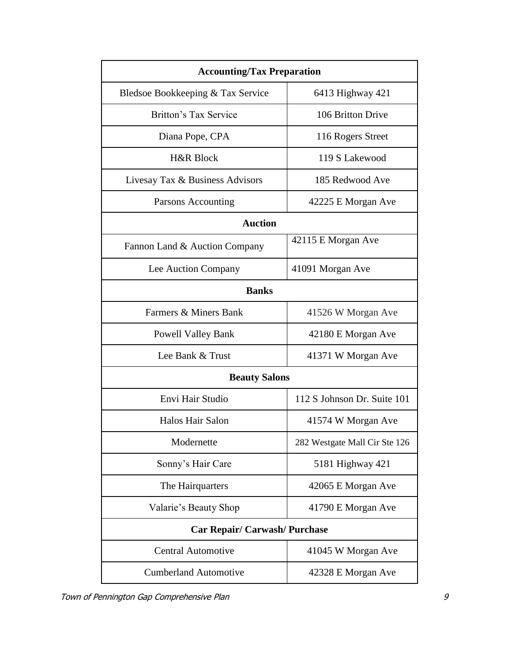| <b>Accounting/Tax Preparation</b>    |                               |
|--------------------------------------|-------------------------------|
| Bledsoe Bookkeeping & Tax Service    | 6413 Highway 421              |
| Britton's Tax Service                | 106 Britton Drive             |
| Diana Pope, CPA                      | 116 Rogers Street             |
| <b>H&amp;R Block</b>                 | 119 S Lakewood                |
| Livesay Tax & Business Advisors      | 185 Redwood Ave               |
| Parsons Accounting                   | 42225 E Morgan Ave            |
| <b>Auction</b>                       |                               |
| Fannon Land & Auction Company        | 42115 E Morgan Ave            |
| Lee Auction Company                  | 41091 Morgan Ave              |
| <b>Banks</b>                         |                               |
| Farmers & Miners Bank                | 41526 W Morgan Ave            |
| <b>Powell Valley Bank</b>            | 42180 E Morgan Ave            |
| Lee Bank & Trust                     | 41371 W Morgan Ave            |
| <b>Beauty Salons</b>                 |                               |
| Envi Hair Studio                     | 112 S Johnson Dr. Suite 101   |
| Halos Hair Salon                     | 41574 W Morgan Ave            |
| Modernette                           | 282 Westgate Mall Cir Ste 126 |
| Sonny's Hair Care                    | 5181 Highway 421              |
| The Hairquarters                     | 42065 E Morgan Ave            |
| Valarie's Beauty Shop                | 41790 E Morgan Ave            |
| <b>Car Repair/ Carwash/ Purchase</b> |                               |
| <b>Central Automotive</b>            | 41045 W Morgan Ave            |
| <b>Cumberland Automotive</b>         | 42328 E Morgan Ave            |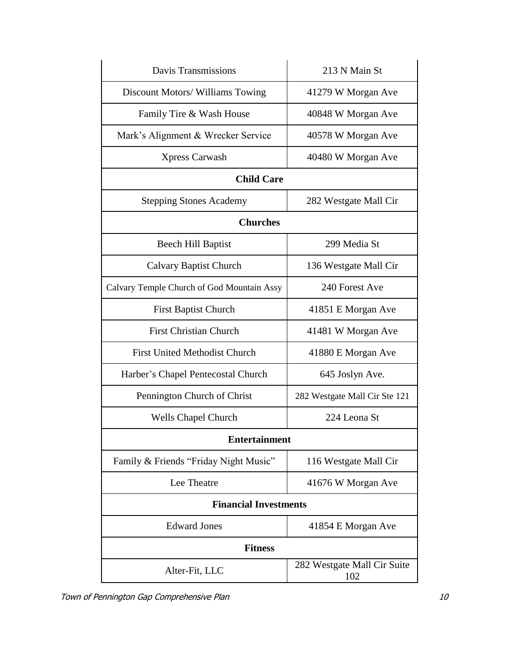| <b>Davis Transmissions</b>                 | 213 N Main St                      |
|--------------------------------------------|------------------------------------|
| Discount Motors/ Williams Towing           | 41279 W Morgan Ave                 |
| Family Tire & Wash House                   | 40848 W Morgan Ave                 |
| Mark's Alignment & Wrecker Service         | 40578 W Morgan Ave                 |
| <b>Xpress Carwash</b>                      | 40480 W Morgan Ave                 |
| <b>Child Care</b>                          |                                    |
| <b>Stepping Stones Academy</b>             | 282 Westgate Mall Cir              |
| <b>Churches</b>                            |                                    |
| Beech Hill Baptist                         | 299 Media St                       |
| <b>Calvary Baptist Church</b>              | 136 Westgate Mall Cir              |
| Calvary Temple Church of God Mountain Assy | 240 Forest Ave                     |
| <b>First Baptist Church</b>                | 41851 E Morgan Ave                 |
| <b>First Christian Church</b>              | 41481 W Morgan Ave                 |
| <b>First United Methodist Church</b>       | 41880 E Morgan Ave                 |
| Harber's Chapel Pentecostal Church         | 645 Joslyn Ave.                    |
| Pennington Church of Christ                | 282 Westgate Mall Cir Ste 121      |
| <b>Wells Chapel Church</b>                 | 224 Leona St                       |
| <b>Entertainment</b>                       |                                    |
| Family & Friends "Friday Night Music"      | 116 Westgate Mall Cir              |
| Lee Theatre                                | 41676 W Morgan Ave                 |
| <b>Financial Investments</b>               |                                    |
| <b>Edward Jones</b>                        | 41854 E Morgan Ave                 |
| <b>Fitness</b>                             |                                    |
| Alter-Fit, LLC                             | 282 Westgate Mall Cir Suite<br>102 |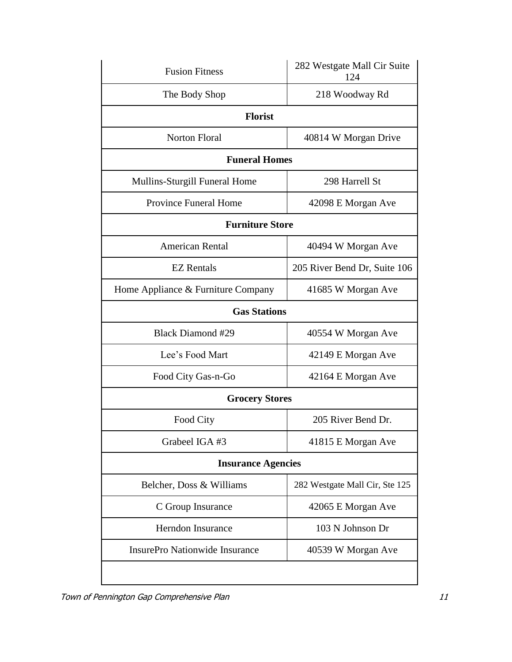| <b>Fusion Fitness</b>                 | 282 Westgate Mall Cir Suite<br>124 |  |
|---------------------------------------|------------------------------------|--|
| The Body Shop                         | 218 Woodway Rd                     |  |
| <b>Florist</b>                        |                                    |  |
| <b>Norton Floral</b>                  | 40814 W Morgan Drive               |  |
| <b>Funeral Homes</b>                  |                                    |  |
| Mullins-Sturgill Funeral Home         | 298 Harrell St                     |  |
| <b>Province Funeral Home</b>          | 42098 E Morgan Ave                 |  |
| <b>Furniture Store</b>                |                                    |  |
| <b>American Rental</b>                | 40494 W Morgan Ave                 |  |
| <b>EZ</b> Rentals                     | 205 River Bend Dr, Suite 106       |  |
| Home Appliance & Furniture Company    | 41685 W Morgan Ave                 |  |
| <b>Gas Stations</b>                   |                                    |  |
| <b>Black Diamond #29</b>              | 40554 W Morgan Ave                 |  |
| Lee's Food Mart                       | 42149 E Morgan Ave                 |  |
| Food City Gas-n-Go                    | 42164 E Morgan Ave                 |  |
| <b>Grocery Stores</b>                 |                                    |  |
| Food City                             | 205 River Bend Dr.                 |  |
| Grabeel IGA #3                        | 41815 E Morgan Ave                 |  |
| <b>Insurance Agencies</b>             |                                    |  |
| Belcher, Doss & Williams              | 282 Westgate Mall Cir, Ste 125     |  |
| C Group Insurance                     | 42065 E Morgan Ave                 |  |
| Herndon Insurance                     | 103 N Johnson Dr                   |  |
| <b>InsurePro Nationwide Insurance</b> | 40539 W Morgan Ave                 |  |
|                                       |                                    |  |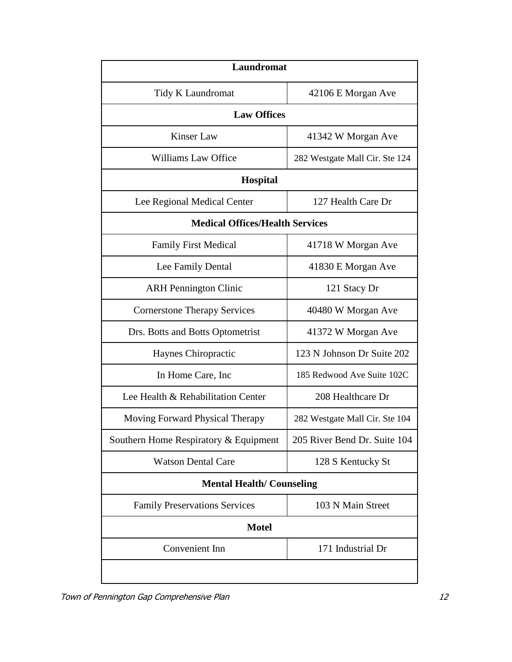| <b>Laundromat</b>                      |                                |  |
|----------------------------------------|--------------------------------|--|
| Tidy K Laundromat                      | 42106 E Morgan Ave             |  |
| <b>Law Offices</b>                     |                                |  |
| <b>Kinser Law</b>                      | 41342 W Morgan Ave             |  |
| Williams Law Office                    | 282 Westgate Mall Cir. Ste 124 |  |
| Hospital                               |                                |  |
| Lee Regional Medical Center            | 127 Health Care Dr             |  |
| <b>Medical Offices/Health Services</b> |                                |  |
| <b>Family First Medical</b>            | 41718 W Morgan Ave             |  |
| Lee Family Dental                      | 41830 E Morgan Ave             |  |
| <b>ARH Pennington Clinic</b>           | 121 Stacy Dr                   |  |
| <b>Cornerstone Therapy Services</b>    | 40480 W Morgan Ave             |  |
| Drs. Botts and Botts Optometrist       | 41372 W Morgan Ave             |  |
| Haynes Chiropractic                    | 123 N Johnson Dr Suite 202     |  |
| In Home Care, Inc.                     | 185 Redwood Ave Suite 102C     |  |
| Lee Health & Rehabilitation Center     | 208 Healthcare Dr              |  |
| Moving Forward Physical Therapy        | 282 Westgate Mall Cir. Ste 104 |  |
| Southern Home Respiratory & Equipment  | 205 River Bend Dr. Suite 104   |  |
| <b>Watson Dental Care</b>              | 128 S Kentucky St              |  |
| <b>Mental Health/Counseling</b>        |                                |  |
| <b>Family Preservations Services</b>   | 103 N Main Street              |  |
| <b>Motel</b>                           |                                |  |
| Convenient Inn                         | 171 Industrial Dr              |  |
|                                        |                                |  |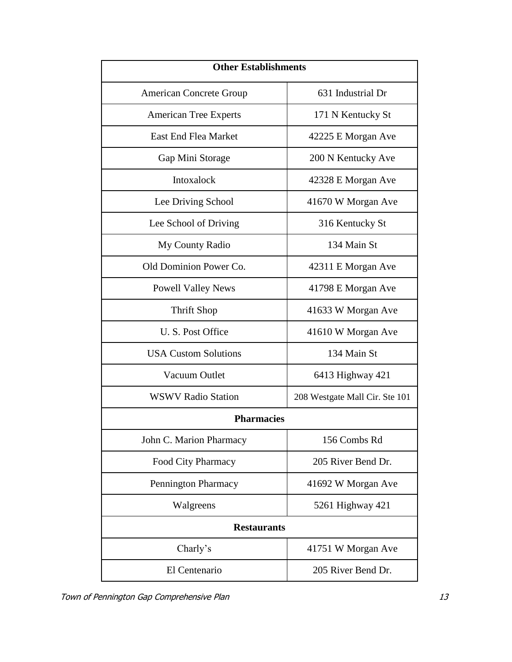| <b>Other Establishments</b>    |                                |
|--------------------------------|--------------------------------|
| <b>American Concrete Group</b> | 631 Industrial Dr              |
| <b>American Tree Experts</b>   | 171 N Kentucky St              |
| <b>East End Flea Market</b>    | 42225 E Morgan Ave             |
| Gap Mini Storage               | 200 N Kentucky Ave             |
| Intoxalock                     | 42328 E Morgan Ave             |
| Lee Driving School             | 41670 W Morgan Ave             |
| Lee School of Driving          | 316 Kentucky St                |
| My County Radio                | 134 Main St                    |
| Old Dominion Power Co.         | 42311 E Morgan Ave             |
| <b>Powell Valley News</b>      | 41798 E Morgan Ave             |
| <b>Thrift Shop</b>             | 41633 W Morgan Ave             |
| U. S. Post Office              | 41610 W Morgan Ave             |
| <b>USA Custom Solutions</b>    | 134 Main St                    |
| Vacuum Outlet                  | 6413 Highway 421               |
| <b>WSWV Radio Station</b>      | 208 Westgate Mall Cir. Ste 101 |
| <b>Pharmacies</b>              |                                |
| John C. Marion Pharmacy        | 156 Combs Rd                   |
| Food City Pharmacy             | 205 River Bend Dr.             |
| Pennington Pharmacy            | 41692 W Morgan Ave             |
| Walgreens                      | 5261 Highway 421               |
| <b>Restaurants</b>             |                                |
| Charly's                       | 41751 W Morgan Ave             |
| El Centenario                  | 205 River Bend Dr.             |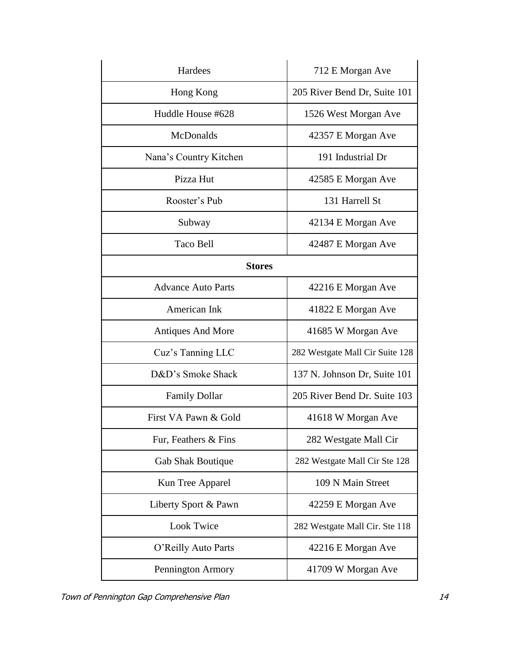| Hardees                   | 712 E Morgan Ave                |
|---------------------------|---------------------------------|
| Hong Kong                 | 205 River Bend Dr, Suite 101    |
| Huddle House #628         | 1526 West Morgan Ave            |
| McDonalds                 | 42357 E Morgan Ave              |
| Nana's Country Kitchen    | 191 Industrial Dr               |
| Pizza Hut                 | 42585 E Morgan Ave              |
| Rooster's Pub             | 131 Harrell St                  |
| Subway                    | 42134 E Morgan Ave              |
| Taco Bell                 | 42487 E Morgan Ave              |
| <b>Stores</b>             |                                 |
| <b>Advance Auto Parts</b> | 42216 E Morgan Ave              |
| American Ink              | 41822 E Morgan Ave              |
| <b>Antiques And More</b>  | 41685 W Morgan Ave              |
| Cuz's Tanning LLC         | 282 Westgate Mall Cir Suite 128 |
| D&D's Smoke Shack         | 137 N. Johnson Dr, Suite 101    |
| <b>Family Dollar</b>      | 205 River Bend Dr. Suite 103    |
| First VA Pawn & Gold      | 41618 W Morgan Ave              |
| Fur, Feathers & Fins      | 282 Westgate Mall Cir           |
| Gab Shak Boutique         | 282 Westgate Mall Cir Ste 128   |
| Kun Tree Apparel          | 109 N Main Street               |
| Liberty Sport & Pawn      | 42259 E Morgan Ave              |
| <b>Look Twice</b>         | 282 Westgate Mall Cir. Ste 118  |
| O'Reilly Auto Parts       | 42216 E Morgan Ave              |
| Pennington Armory         | 41709 W Morgan Ave              |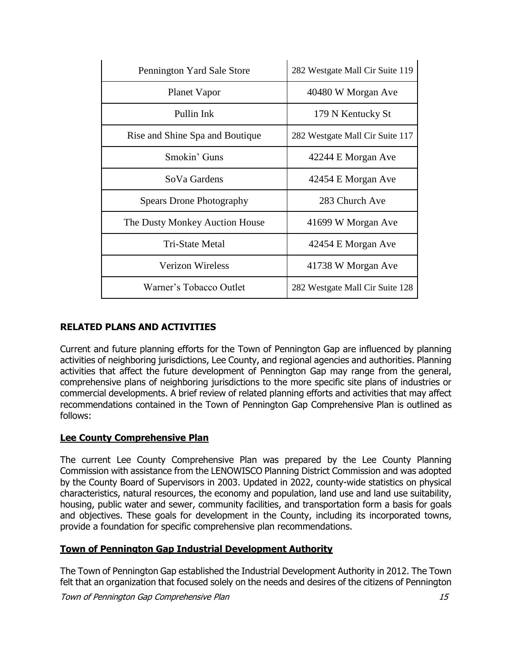| Pennington Yard Sale Store      | 282 Westgate Mall Cir Suite 119 |
|---------------------------------|---------------------------------|
| Planet Vapor                    | 40480 W Morgan Ave              |
| Pullin Ink                      | 179 N Kentucky St               |
| Rise and Shine Spa and Boutique | 282 Westgate Mall Cir Suite 117 |
| Smokin' Guns                    | 42244 E Morgan Ave              |
| SoVa Gardens                    | 42454 E Morgan Ave              |
| <b>Spears Drone Photography</b> | 283 Church Ave                  |
| The Dusty Monkey Auction House  | 41699 W Morgan Ave              |
| Tri-State Metal                 | 42454 E Morgan Ave              |
| <b>Verizon Wireless</b>         | 41738 W Morgan Ave              |
| Warner's Tobacco Outlet         | 282 Westgate Mall Cir Suite 128 |

# **RELATED PLANS AND ACTIVITIES**

Current and future planning efforts for the Town of Pennington Gap are influenced by planning activities of neighboring jurisdictions, Lee County, and regional agencies and authorities. Planning activities that affect the future development of Pennington Gap may range from the general, comprehensive plans of neighboring jurisdictions to the more specific site plans of industries or commercial developments. A brief review of related planning efforts and activities that may affect recommendations contained in the Town of Pennington Gap Comprehensive Plan is outlined as follows:

# **Lee County Comprehensive Plan**

The current Lee County Comprehensive Plan was prepared by the Lee County Planning Commission with assistance from the LENOWISCO Planning District Commission and was adopted by the County Board of Supervisors in 2003. Updated in 2022, county-wide statistics on physical characteristics, natural resources, the economy and population, land use and land use suitability, housing, public water and sewer, community facilities, and transportation form a basis for goals and objectives. These goals for development in the County, including its incorporated towns, provide a foundation for specific comprehensive plan recommendations.

# **Town of Pennington Gap Industrial Development Authority**

The Town of Pennington Gap established the Industrial Development Authority in 2012. The Town felt that an organization that focused solely on the needs and desires of the citizens of Pennington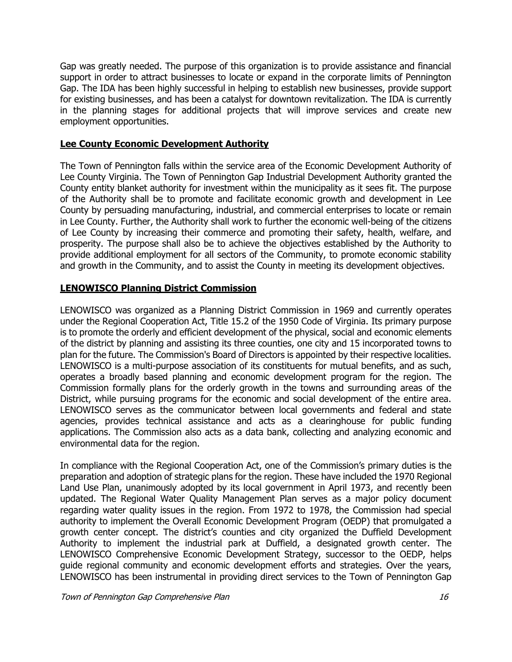Gap was greatly needed. The purpose of this organization is to provide assistance and financial support in order to attract businesses to locate or expand in the corporate limits of Pennington Gap. The IDA has been highly successful in helping to establish new businesses, provide support for existing businesses, and has been a catalyst for downtown revitalization. The IDA is currently in the planning stages for additional projects that will improve services and create new employment opportunities.

# **Lee County Economic Development Authority**

The Town of Pennington falls within the service area of the Economic Development Authority of Lee County Virginia. The Town of Pennington Gap Industrial Development Authority granted the County entity blanket authority for investment within the municipality as it sees fit. The purpose of the Authority shall be to promote and facilitate economic growth and development in Lee County by persuading manufacturing, industrial, and commercial enterprises to locate or remain in Lee County. Further, the Authority shall work to further the economic well-being of the citizens of Lee County by increasing their commerce and promoting their safety, health, welfare, and prosperity. The purpose shall also be to achieve the objectives established by the Authority to provide additional employment for all sectors of the Community, to promote economic stability and growth in the Community, and to assist the County in meeting its development objectives.

# **LENOWISCO Planning District Commission**

LENOWISCO was organized as a Planning District Commission in 1969 and currently operates under the Regional Cooperation Act, Title 15.2 of the 1950 Code of Virginia. Its primary purpose is to promote the orderly and efficient development of the physical, social and economic elements of the district by planning and assisting its three counties, one city and 15 incorporated towns to plan for the future. The Commission's Board of Directors is appointed by their respective localities. LENOWISCO is a multi-purpose association of its constituents for mutual benefits, and as such, operates a broadly based planning and economic development program for the region. The Commission formally plans for the orderly growth in the towns and surrounding areas of the District, while pursuing programs for the economic and social development of the entire area. LENOWISCO serves as the communicator between local governments and federal and state agencies, provides technical assistance and acts as a clearinghouse for public funding applications. The Commission also acts as a data bank, collecting and analyzing economic and environmental data for the region.

In compliance with the Regional Cooperation Act, one of the Commission's primary duties is the preparation and adoption of strategic plans for the region. These have included the 1970 Regional Land Use Plan, unanimously adopted by its local government in April 1973, and recently been updated. The Regional Water Quality Management Plan serves as a major policy document regarding water quality issues in the region. From 1972 to 1978, the Commission had special authority to implement the Overall Economic Development Program (OEDP) that promulgated a growth center concept. The district's counties and city organized the Duffield Development Authority to implement the industrial park at Duffield, a designated growth center. The LENOWISCO Comprehensive Economic Development Strategy, successor to the OEDP, helps guide regional community and economic development efforts and strategies. Over the years, LENOWISCO has been instrumental in providing direct services to the Town of Pennington Gap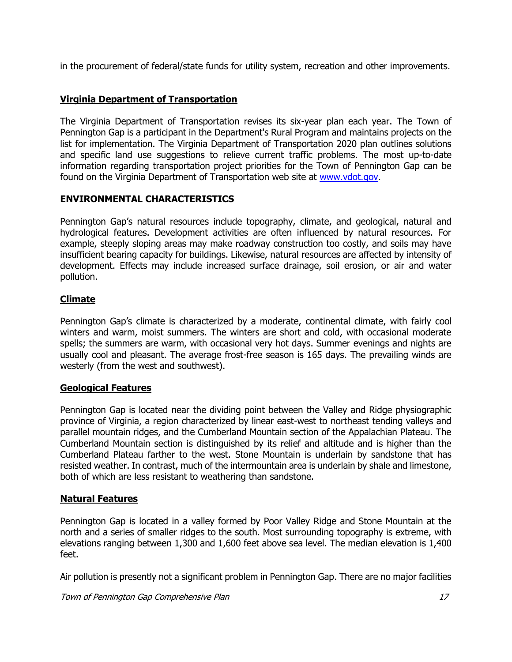in the procurement of federal/state funds for utility system, recreation and other improvements.

# **Virginia Department of Transportation**

The Virginia Department of Transportation revises its six-year plan each year. The Town of Pennington Gap is a participant in the Department's Rural Program and maintains projects on the list for implementation. The Virginia Department of Transportation 2020 plan outlines solutions and specific land use suggestions to relieve current traffic problems. The most up-to-date information regarding transportation project priorities for the Town of Pennington Gap can be found on the Virginia Department of Transportation web site at [www.vdot.gov.](http://www.vdot.gov/)

# **ENVIRONMENTAL CHARACTERISTICS**

Pennington Gap's natural resources include topography, climate, and geological, natural and hydrological features. Development activities are often influenced by natural resources. For example, steeply sloping areas may make roadway construction too costly, and soils may have insufficient bearing capacity for buildings. Likewise, natural resources are affected by intensity of development. Effects may include increased surface drainage, soil erosion, or air and water pollution.

# **Climate**

Pennington Gap's climate is characterized by a moderate, continental climate, with fairly cool winters and warm, moist summers. The winters are short and cold, with occasional moderate spells; the summers are warm, with occasional very hot days. Summer evenings and nights are usually cool and pleasant. The average frost-free season is 165 days. The prevailing winds are westerly (from the west and southwest).

# **Geological Features**

Pennington Gap is located near the dividing point between the Valley and Ridge physiographic province of Virginia, a region characterized by linear east-west to northeast tending valleys and parallel mountain ridges, and the Cumberland Mountain section of the Appalachian Plateau. The Cumberland Mountain section is distinguished by its relief and altitude and is higher than the Cumberland Plateau farther to the west. Stone Mountain is underlain by sandstone that has resisted weather. In contrast, much of the intermountain area is underlain by shale and limestone, both of which are less resistant to weathering than sandstone.

# **Natural Features**

Pennington Gap is located in a valley formed by Poor Valley Ridge and Stone Mountain at the north and a series of smaller ridges to the south. Most surrounding topography is extreme, with elevations ranging between 1,300 and 1,600 feet above sea level. The median elevation is 1,400 feet.

Air pollution is presently not a significant problem in Pennington Gap. There are no major facilities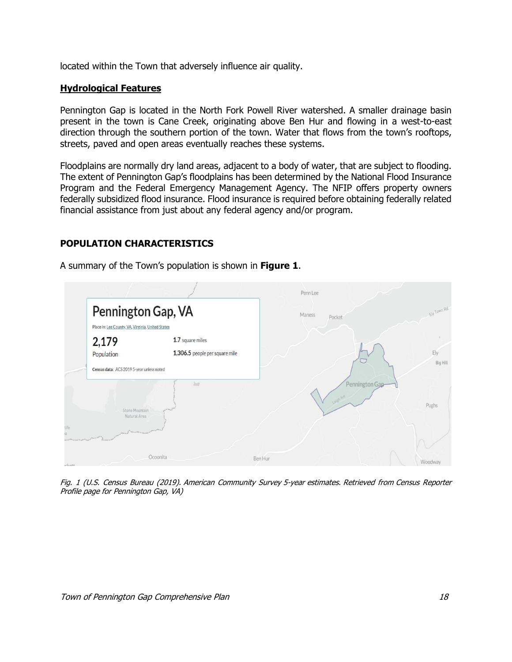located within the Town that adversely influence air quality.

#### **Hydrological Features**

Pennington Gap is located in the North Fork Powell River watershed. A smaller drainage basin present in the town is Cane Creek, originating above Ben Hur and flowing in a west-to-east direction through the southern portion of the town. Water that flows from the town's rooftops, streets, paved and open areas eventually reaches these systems.

Floodplains are normally dry land areas, adjacent to a body of water, that are subject to flooding. The extent of Pennington Gap's floodplains has been determined by the National Flood Insurance Program and the Federal Emergency Management Agency. The NFIP offers property owners federally subsidized flood insurance. Flood insurance is required before obtaining federally related financial assistance from just about any federal agency and/or program.

# **POPULATION CHARACTERISTICS**

Penn Lee Pennington Gap, VA Maness Pocket Place in: Lee County, VA, Virginia, United States 1.7 square miles 2.179 1,306.5 people per square mile Population Ely **Big Hill** Census data: ACS 2019 5-year unless noted  $\sim$ ennington Pughs Natural Area Ocoonita Ben Hur

A summary of the Town's population is shown in **Figure 1**.

Fig. 1 (U.S. Census Bureau (2019). American Community Survey 5-year estimates. Retrieved from Census Reporter Profile page for Pennington Gap, VA)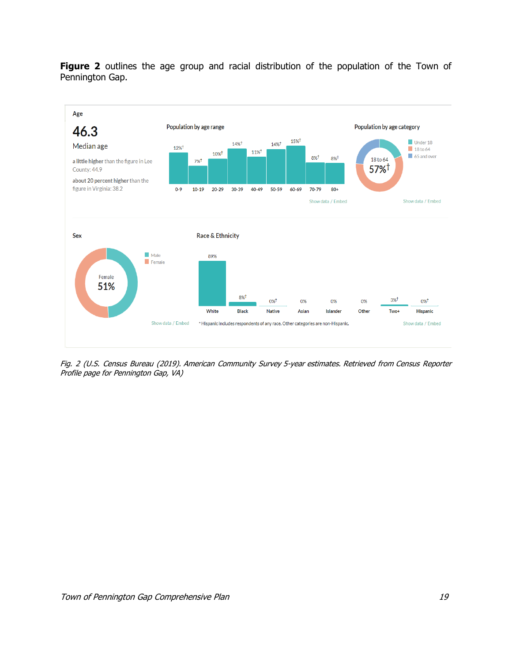Figure 2 outlines the age group and racial distribution of the population of the Town of Pennington Gap.



Fig. 2 (U.S. Census Bureau (2019). American Community Survey 5-year estimates. Retrieved from Census Reporter Profile page for Pennington Gap, VA)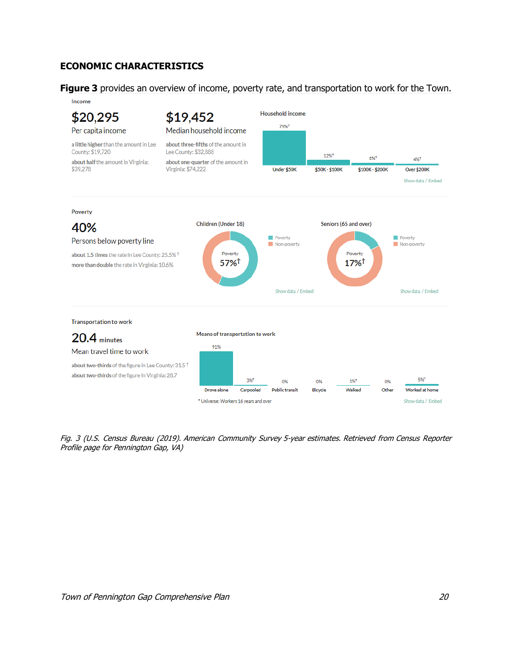# **ECONOMIC CHARACTERISTICS**

**Figure 3** provides an overview of income, poverty rate, and transportation to work for the Town.



Fig. 3 (U.S. Census Bureau (2019). American Community Survey 5-year estimates. Retrieved from Census Reporter Profile page for Pennington Gap, VA)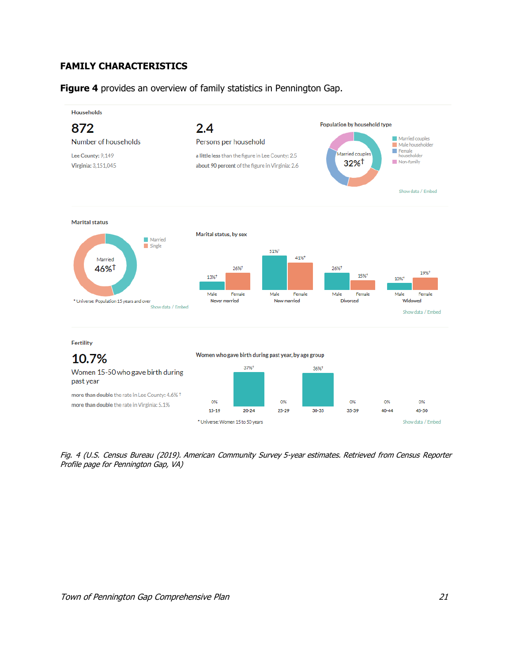# **FAMILY CHARACTERISTICS**

**Figure 4** provides an overview of family statistics in Pennington Gap.



Fig. 4 (U.S. Census Bureau (2019). American Community Survey 5-year estimates. Retrieved from Census Reporter Profile page for Pennington Gap, VA)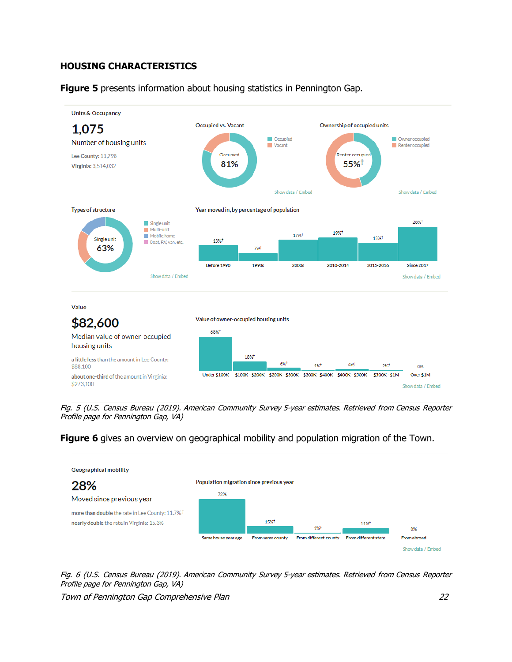# **HOUSING CHARACTERISTICS**

**Figure 5** presents information about housing statistics in Pennington Gap.



Fig. 5 (U.S. Census Bureau (2019). American Community Survey 5-year estimates. Retrieved from Census Reporter Profile page for Pennington Gap, VA)

**Figure 6** gives an overview on geographical mobility and population migration of the Town.



Fig. 6 (U.S. Census Bureau (2019). American Community Survey 5-year estimates. Retrieved from Census Reporter Profile page for Pennington Gap, VA)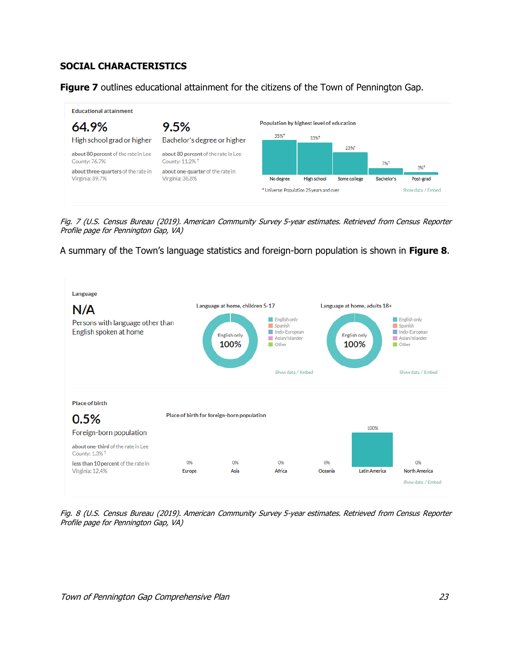# **SOCIAL CHARACTERISTICS**

**Figure 7** outlines educational attainment for the citizens of the Town of Pennington Gap.



Fig. 7 (U.S. Census Bureau (2019). American Community Survey 5-year estimates. Retrieved from Census Reporter Profile page for Pennington Gap, VA)

A summary of the Town's language statistics and foreign-born population is shown in **Figure 8**.



Fig. 8 (U.S. Census Bureau (2019). American Community Survey 5-year estimates. Retrieved from Census Reporter Profile page for Pennington Gap, VA)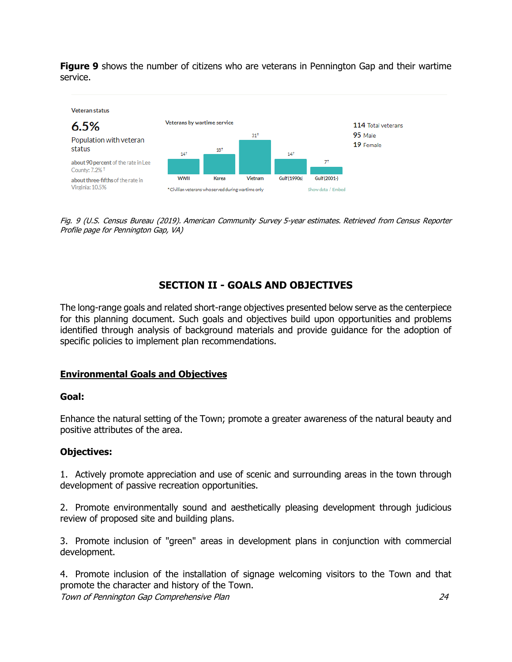**Figure 9** shows the number of citizens who are veterans in Pennington Gap and their wartime service.



Fig. 9 (U.S. Census Bureau (2019). American Community Survey 5-year estimates. Retrieved from Census Reporter Profile page for Pennington Gap, VA)

# **SECTION II - GOALS AND OBJECTIVES**

The long-range goals and related short-range objectives presented below serve as the centerpiece for this planning document. Such goals and objectives build upon opportunities and problems identified through analysis of background materials and provide guidance for the adoption of specific policies to implement plan recommendations.

# **Environmental Goals and Objectives**

# **Goal:**

Enhance the natural setting of the Town; promote a greater awareness of the natural beauty and positive attributes of the area.

# **Objectives:**

1. Actively promote appreciation and use of scenic and surrounding areas in the town through development of passive recreation opportunities.

2. Promote environmentally sound and aesthetically pleasing development through judicious review of proposed site and building plans.

3. Promote inclusion of "green" areas in development plans in conjunction with commercial development.

Town of Pennington Gap Comprehensive Plan 24 4. Promote inclusion of the installation of signage welcoming visitors to the Town and that promote the character and history of the Town.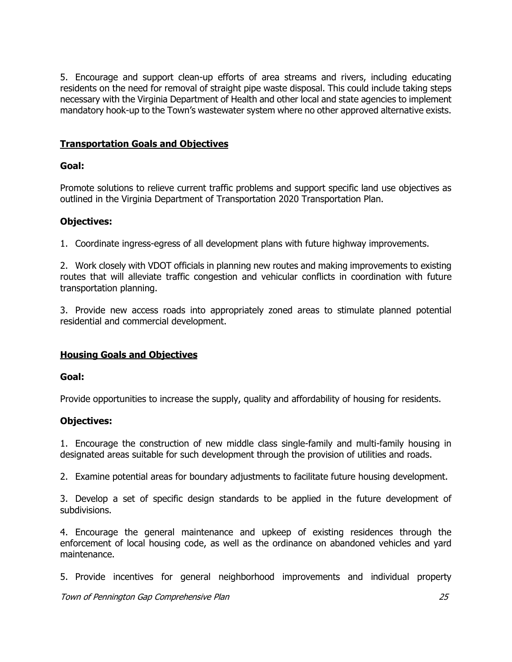5. Encourage and support clean-up efforts of area streams and rivers, including educating residents on the need for removal of straight pipe waste disposal. This could include taking steps necessary with the Virginia Department of Health and other local and state agencies to implement mandatory hook-up to the Town's wastewater system where no other approved alternative exists.

# **Transportation Goals and Objectives**

# **Goal:**

Promote solutions to relieve current traffic problems and support specific land use objectives as outlined in the Virginia Department of Transportation 2020 Transportation Plan.

# **Objectives:**

1. Coordinate ingress-egress of all development plans with future highway improvements.

2. Work closely with VDOT officials in planning new routes and making improvements to existing routes that will alleviate traffic congestion and vehicular conflicts in coordination with future transportation planning.

3. Provide new access roads into appropriately zoned areas to stimulate planned potential residential and commercial development.

# **Housing Goals and Objectives**

# **Goal:**

Provide opportunities to increase the supply, quality and affordability of housing for residents.

# **Objectives:**

1. Encourage the construction of new middle class single-family and multi-family housing in designated areas suitable for such development through the provision of utilities and roads.

2. Examine potential areas for boundary adjustments to facilitate future housing development.

3. Develop a set of specific design standards to be applied in the future development of subdivisions.

4. Encourage the general maintenance and upkeep of existing residences through the enforcement of local housing code, as well as the ordinance on abandoned vehicles and yard maintenance.

5. Provide incentives for general neighborhood improvements and individual property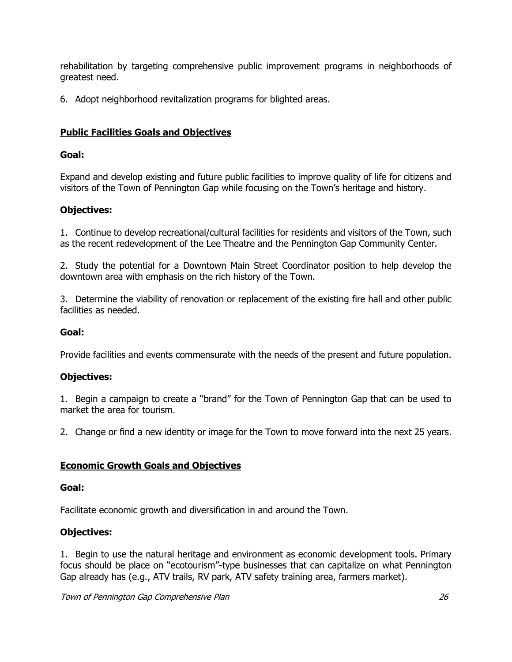rehabilitation by targeting comprehensive public improvement programs in neighborhoods of greatest need.

6. Adopt neighborhood revitalization programs for blighted areas.

# **Public Facilities Goals and Objectives**

# **Goal:**

Expand and develop existing and future public facilities to improve quality of life for citizens and visitors of the Town of Pennington Gap while focusing on the Town's heritage and history.

# **Objectives:**

1. Continue to develop recreational/cultural facilities for residents and visitors of the Town, such as the recent redevelopment of the Lee Theatre and the Pennington Gap Community Center.

2. Study the potential for a Downtown Main Street Coordinator position to help develop the downtown area with emphasis on the rich history of the Town.

3. Determine the viability of renovation or replacement of the existing fire hall and other public facilities as needed.

# **Goal:**

Provide facilities and events commensurate with the needs of the present and future population.

# **Objectives:**

1. Begin a campaign to create a "brand" for the Town of Pennington Gap that can be used to market the area for tourism.

2. Change or find a new identity or image for the Town to move forward into the next 25 years.

# **Economic Growth Goals and Objectives**

#### **Goal:**

Facilitate economic growth and diversification in and around the Town.

# **Objectives:**

1. Begin to use the natural heritage and environment as economic development tools. Primary focus should be place on "ecotourism"-type businesses that can capitalize on what Pennington Gap already has (e.g., ATV trails, RV park, ATV safety training area, farmers market).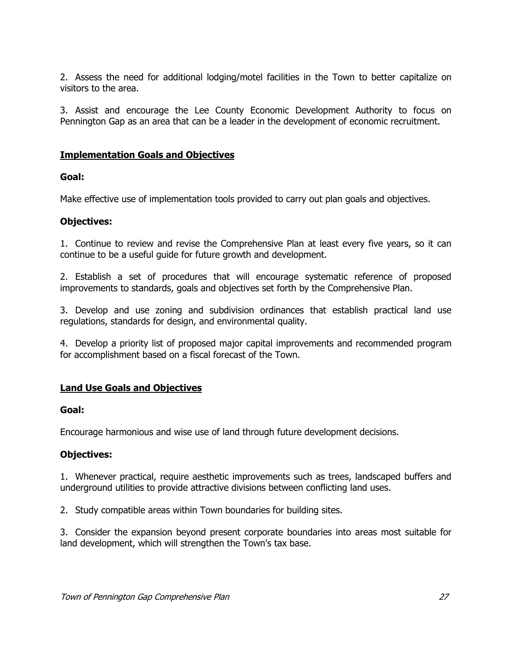2. Assess the need for additional lodging/motel facilities in the Town to better capitalize on visitors to the area.

3. Assist and encourage the Lee County Economic Development Authority to focus on Pennington Gap as an area that can be a leader in the development of economic recruitment.

# **Implementation Goals and Objectives**

# **Goal:**

Make effective use of implementation tools provided to carry out plan goals and objectives.

# **Objectives:**

1. Continue to review and revise the Comprehensive Plan at least every five years, so it can continue to be a useful guide for future growth and development.

2. Establish a set of procedures that will encourage systematic reference of proposed improvements to standards, goals and objectives set forth by the Comprehensive Plan.

3. Develop and use zoning and subdivision ordinances that establish practical land use regulations, standards for design, and environmental quality.

4. Develop a priority list of proposed major capital improvements and recommended program for accomplishment based on a fiscal forecast of the Town.

# **Land Use Goals and Objectives**

# **Goal:**

Encourage harmonious and wise use of land through future development decisions.

# **Objectives:**

1. Whenever practical, require aesthetic improvements such as trees, landscaped buffers and underground utilities to provide attractive divisions between conflicting land uses.

2. Study compatible areas within Town boundaries for building sites.

3. Consider the expansion beyond present corporate boundaries into areas most suitable for land development, which will strengthen the Town's tax base.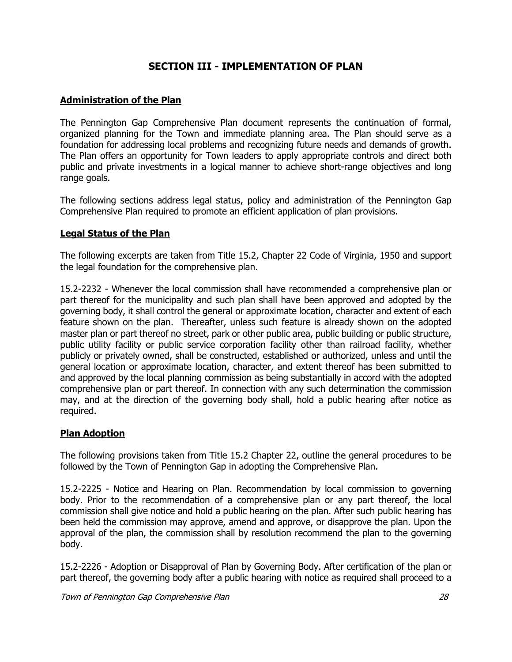# **SECTION III - IMPLEMENTATION OF PLAN**

# **Administration of the Plan**

The Pennington Gap Comprehensive Plan document represents the continuation of formal, organized planning for the Town and immediate planning area. The Plan should serve as a foundation for addressing local problems and recognizing future needs and demands of growth. The Plan offers an opportunity for Town leaders to apply appropriate controls and direct both public and private investments in a logical manner to achieve short-range objectives and long range goals.

The following sections address legal status, policy and administration of the Pennington Gap Comprehensive Plan required to promote an efficient application of plan provisions.

# **Legal Status of the Plan**

The following excerpts are taken from Title 15.2, Chapter 22 Code of Virginia, 1950 and support the legal foundation for the comprehensive plan.

15.2-2232 - Whenever the local commission shall have recommended a comprehensive plan or part thereof for the municipality and such plan shall have been approved and adopted by the governing body, it shall control the general or approximate location, character and extent of each feature shown on the plan. Thereafter, unless such feature is already shown on the adopted master plan or part thereof no street, park or other public area, public building or public structure, public utility facility or public service corporation facility other than railroad facility, whether publicly or privately owned, shall be constructed, established or authorized, unless and until the general location or approximate location, character, and extent thereof has been submitted to and approved by the local planning commission as being substantially in accord with the adopted comprehensive plan or part thereof. In connection with any such determination the commission may, and at the direction of the governing body shall, hold a public hearing after notice as required.

# **Plan Adoption**

The following provisions taken from Title 15.2 Chapter 22, outline the general procedures to be followed by the Town of Pennington Gap in adopting the Comprehensive Plan.

15.2-2225 - Notice and Hearing on Plan. Recommendation by local commission to governing body. Prior to the recommendation of a comprehensive plan or any part thereof, the local commission shall give notice and hold a public hearing on the plan. After such public hearing has been held the commission may approve, amend and approve, or disapprove the plan. Upon the approval of the plan, the commission shall by resolution recommend the plan to the governing body.

15.2-2226 - Adoption or Disapproval of Plan by Governing Body. After certification of the plan or part thereof, the governing body after a public hearing with notice as required shall proceed to a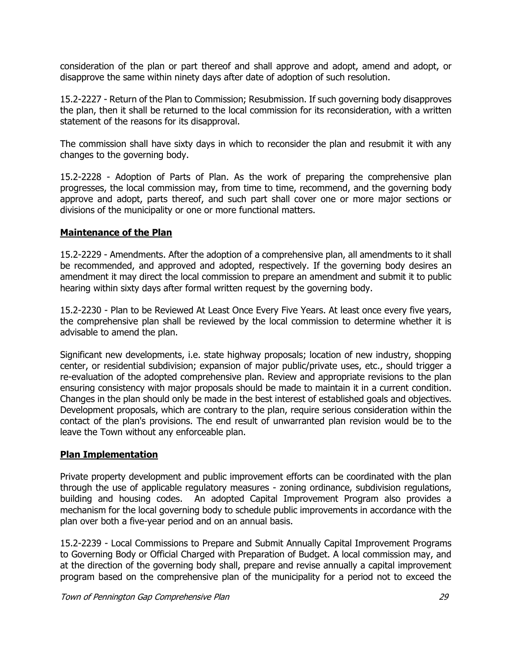consideration of the plan or part thereof and shall approve and adopt, amend and adopt, or disapprove the same within ninety days after date of adoption of such resolution.

15.2-2227 - Return of the Plan to Commission; Resubmission. If such governing body disapproves the plan, then it shall be returned to the local commission for its reconsideration, with a written statement of the reasons for its disapproval.

The commission shall have sixty days in which to reconsider the plan and resubmit it with any changes to the governing body.

15.2-2228 - Adoption of Parts of Plan. As the work of preparing the comprehensive plan progresses, the local commission may, from time to time, recommend, and the governing body approve and adopt, parts thereof, and such part shall cover one or more major sections or divisions of the municipality or one or more functional matters.

# **Maintenance of the Plan**

15.2-2229 - Amendments. After the adoption of a comprehensive plan, all amendments to it shall be recommended, and approved and adopted, respectively. If the governing body desires an amendment it may direct the local commission to prepare an amendment and submit it to public hearing within sixty days after formal written request by the governing body.

15.2-2230 - Plan to be Reviewed At Least Once Every Five Years. At least once every five years, the comprehensive plan shall be reviewed by the local commission to determine whether it is advisable to amend the plan.

Significant new developments, i.e. state highway proposals; location of new industry, shopping center, or residential subdivision; expansion of major public/private uses, etc., should trigger a re-evaluation of the adopted comprehensive plan. Review and appropriate revisions to the plan ensuring consistency with major proposals should be made to maintain it in a current condition. Changes in the plan should only be made in the best interest of established goals and objectives. Development proposals, which are contrary to the plan, require serious consideration within the contact of the plan's provisions. The end result of unwarranted plan revision would be to the leave the Town without any enforceable plan.

# **Plan Implementation**

Private property development and public improvement efforts can be coordinated with the plan through the use of applicable regulatory measures - zoning ordinance, subdivision regulations, building and housing codes. An adopted Capital Improvement Program also provides a mechanism for the local governing body to schedule public improvements in accordance with the plan over both a five-year period and on an annual basis.

15.2-2239 - Local Commissions to Prepare and Submit Annually Capital Improvement Programs to Governing Body or Official Charged with Preparation of Budget. A local commission may, and at the direction of the governing body shall, prepare and revise annually a capital improvement program based on the comprehensive plan of the municipality for a period not to exceed the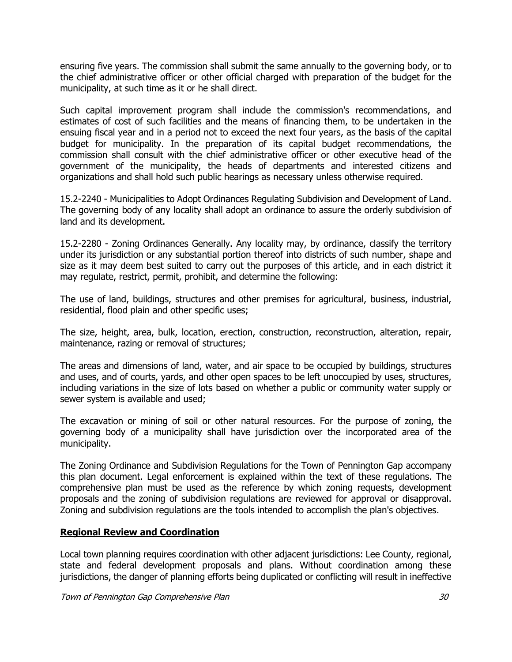ensuring five years. The commission shall submit the same annually to the governing body, or to the chief administrative officer or other official charged with preparation of the budget for the municipality, at such time as it or he shall direct.

Such capital improvement program shall include the commission's recommendations, and estimates of cost of such facilities and the means of financing them, to be undertaken in the ensuing fiscal year and in a period not to exceed the next four years, as the basis of the capital budget for municipality. In the preparation of its capital budget recommendations, the commission shall consult with the chief administrative officer or other executive head of the government of the municipality, the heads of departments and interested citizens and organizations and shall hold such public hearings as necessary unless otherwise required.

15.2-2240 - Municipalities to Adopt Ordinances Regulating Subdivision and Development of Land. The governing body of any locality shall adopt an ordinance to assure the orderly subdivision of land and its development.

15.2-2280 - Zoning Ordinances Generally. Any locality may, by ordinance, classify the territory under its jurisdiction or any substantial portion thereof into districts of such number, shape and size as it may deem best suited to carry out the purposes of this article, and in each district it may regulate, restrict, permit, prohibit, and determine the following:

The use of land, buildings, structures and other premises for agricultural, business, industrial, residential, flood plain and other specific uses;

The size, height, area, bulk, location, erection, construction, reconstruction, alteration, repair, maintenance, razing or removal of structures;

The areas and dimensions of land, water, and air space to be occupied by buildings, structures and uses, and of courts, yards, and other open spaces to be left unoccupied by uses, structures, including variations in the size of lots based on whether a public or community water supply or sewer system is available and used;

The excavation or mining of soil or other natural resources. For the purpose of zoning, the governing body of a municipality shall have jurisdiction over the incorporated area of the municipality.

The Zoning Ordinance and Subdivision Regulations for the Town of Pennington Gap accompany this plan document. Legal enforcement is explained within the text of these regulations. The comprehensive plan must be used as the reference by which zoning requests, development proposals and the zoning of subdivision regulations are reviewed for approval or disapproval. Zoning and subdivision regulations are the tools intended to accomplish the plan's objectives.

# **Regional Review and Coordination**

Local town planning requires coordination with other adjacent jurisdictions: Lee County, regional, state and federal development proposals and plans. Without coordination among these jurisdictions, the danger of planning efforts being duplicated or conflicting will result in ineffective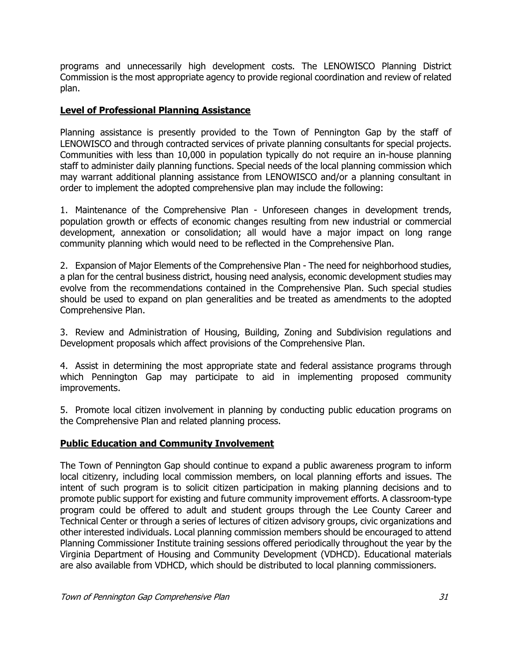programs and unnecessarily high development costs. The LENOWISCO Planning District Commission is the most appropriate agency to provide regional coordination and review of related plan.

# **Level of Professional Planning Assistance**

Planning assistance is presently provided to the Town of Pennington Gap by the staff of LENOWISCO and through contracted services of private planning consultants for special projects. Communities with less than 10,000 in population typically do not require an in-house planning staff to administer daily planning functions. Special needs of the local planning commission which may warrant additional planning assistance from LENOWISCO and/or a planning consultant in order to implement the adopted comprehensive plan may include the following:

1. Maintenance of the Comprehensive Plan - Unforeseen changes in development trends, population growth or effects of economic changes resulting from new industrial or commercial development, annexation or consolidation; all would have a major impact on long range community planning which would need to be reflected in the Comprehensive Plan.

2. Expansion of Major Elements of the Comprehensive Plan - The need for neighborhood studies, a plan for the central business district, housing need analysis, economic development studies may evolve from the recommendations contained in the Comprehensive Plan. Such special studies should be used to expand on plan generalities and be treated as amendments to the adopted Comprehensive Plan.

3. Review and Administration of Housing, Building, Zoning and Subdivision regulations and Development proposals which affect provisions of the Comprehensive Plan.

4. Assist in determining the most appropriate state and federal assistance programs through which Pennington Gap may participate to aid in implementing proposed community improvements.

5. Promote local citizen involvement in planning by conducting public education programs on the Comprehensive Plan and related planning process.

# **Public Education and Community Involvement**

The Town of Pennington Gap should continue to expand a public awareness program to inform local citizenry, including local commission members, on local planning efforts and issues. The intent of such program is to solicit citizen participation in making planning decisions and to promote public support for existing and future community improvement efforts. A classroom-type program could be offered to adult and student groups through the Lee County Career and Technical Center or through a series of lectures of citizen advisory groups, civic organizations and other interested individuals. Local planning commission members should be encouraged to attend Planning Commissioner Institute training sessions offered periodically throughout the year by the Virginia Department of Housing and Community Development (VDHCD). Educational materials are also available from VDHCD, which should be distributed to local planning commissioners.